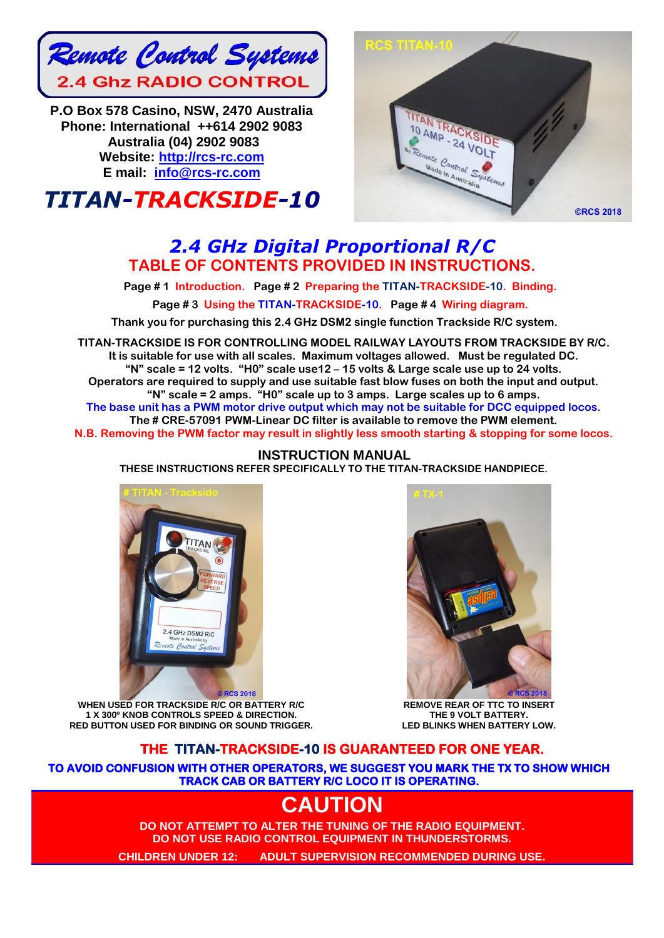

**P.O Box 578 Casino, NSW, 2470 Australia Phone: International ++614 2902 9083 Australia (04) 2902 9083 Website: [http://rcs-rc.com](http://rcs-rc.com/) E mail: [info@rcs-rc.com](mailto:info@rcs-rc.com)**





## *2.4 GHz Digital Proportional R/C* **TABLE OF CONTENTS PROVIDED IN INSTRUCTIONS.**

**Page # 1 Introduction. Page # 2 Preparing the TITAN-TRACKSIDE-10. Binding.**

**Page # 3 Using the TITAN-TRACKSIDE-10. Page # 4 Wiring diagram.**

**Thank you for purchasing this 2.4 GHz DSM2 single function Trackside R/C system.**

**TITAN-TRACKSIDE IS FOR CONTROLLING MODEL RAILWAY LAYOUTS FROM TRACKSIDE BY R/C. It is suitable for use with all scales. Maximum voltages allowed. Must be regulated DC. "N" scale = 12 volts. "H0" scale use12 – 15 volts & Large scale use up to 24 volts. Operators are required to supply and use suitable fast blow fuses on both the input and output. "N" scale = 2 amps. "H0" scale up to 3 amps. Large scales up to 6 amps. The base unit has a PWM motor drive output which may not be suitable for DCC equipped locos. The # CRE-57091 PWM-Linear DC filter is available to remove the PWM element. N.B. Removing the PWM factor may result in slightly less smooth starting & stopping for some locos.**

#### **INSTRUCTION MANUAL THESE INSTRUCTIONS REFER SPECIFICALLY TO THE TITAN-TRACKSIDE HANDPIECE.**



**WHEN USED FOR TRACKSIDE R/C OR BATTERY R/C 1 X 300º KNOB CONTROLS SPEED & DIRECTION. RED BUTTON USED FOR BINDING OR SOUND TRIGGER.**



**REMOVE REAR OF TTC TO INSERT THE 9 VOLT BATTERY. LED BLINKS WHEN BATTERY LOW.**

## **THE TITAN-TRACKSIDE-10 IS GUARANTEED FOR ONE YEAR.**

**TO AVOID CONFUSION WITH OTHER OPERATORS, WE SUGGEST YOU MARK THE TX TO SHOW WHICH TRACK CAB OR BATTERY R/C LOCO IT IS OPERATING.** 

# **CAUTION**

**DO NOT ATTEMPT TO ALTER THE TUNING OF THE RADIO EQUIPMENT. DO NOT USE RADIO CONTROL EQUIPMENT IN THUNDERSTORMS.**

**CHILDREN UNDER 12: ADULT SUPERVISION RECOMMENDED DURING USE.**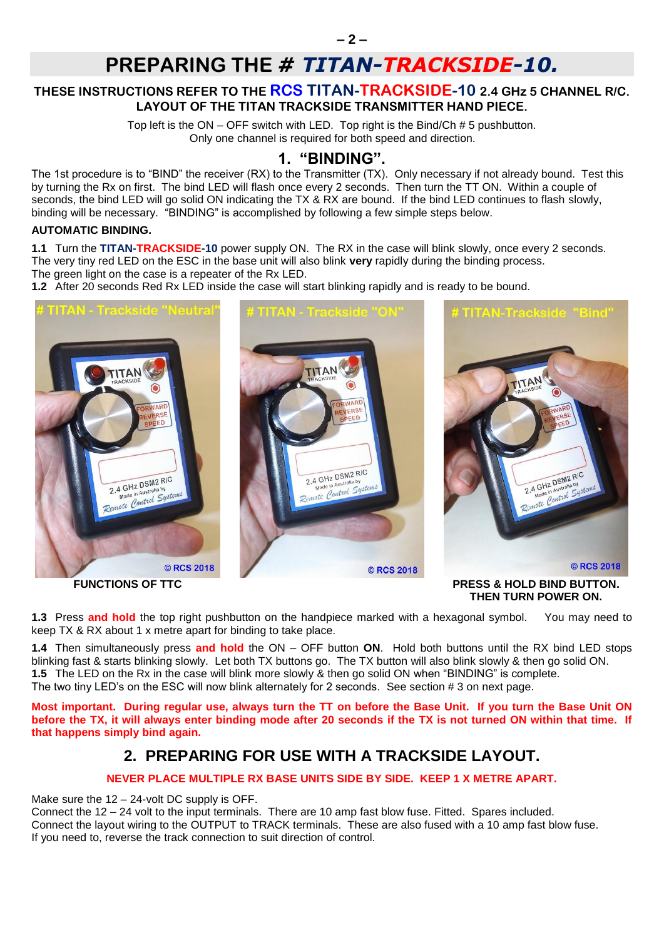# **PREPARING THE** *# TITAN-TRACKSIDE-10.*

### **THESE INSTRUCTIONS REFER TO THE RCS TITAN-TRACKSIDE-10 2.4 GHz 5 CHANNEL R/C. LAYOUT OF THE TITAN TRACKSIDE TRANSMITTER HAND PIECE.**

Top left is the ON – OFF switch with LED. Top right is the Bind/Ch # 5 pushbutton. Only one channel is required for both speed and direction.

## **1. "BINDING".**

The 1st procedure is to "BIND" the receiver (RX) to the Transmitter (TX). Only necessary if not already bound. Test this by turning the Rx on first. The bind LED will flash once every 2 seconds. Then turn the TT ON. Within a couple of seconds, the bind LED will go solid ON indicating the TX & RX are bound. If the bind LED continues to flash slowly, binding will be necessary. "BINDING" is accomplished by following a few simple steps below.

#### **AUTOMATIC BINDING.**

**1.1** Turn the **TITAN-TRACKSIDE-10** power supply ON. The RX in the case will blink slowly, once every 2 seconds. The very tiny red LED on the ESC in the base unit will also blink **very** rapidly during the binding process.

The green light on the case is a repeater of the Rx LED.

**1.2** After 20 seconds Red Rx LED inside the case will start blinking rapidly and is ready to be bound.



**1.3** Press **and hold** the top right pushbutton on the handpiece marked with a hexagonal symbol. You may need to keep TX & RX about 1 x metre apart for binding to take place.

**1.4** Then simultaneously press **and hold** the ON – OFF button **ON**. Hold both buttons until the RX bind LED stops blinking fast & starts blinking slowly. Let both TX buttons go. The TX button will also blink slowly & then go solid ON. **1.5** The LED on the Rx in the case will blink more slowly & then go solid ON when "BINDING" is complete. The two tiny LED's on the ESC will now blink alternately for 2 seconds. See section # 3 on next page.

**Most important. During regular use, always turn the TT on before the Base Unit. If you turn the Base Unit ON before the TX, it will always enter binding mode after 20 seconds if the TX is not turned ON within that time. If that happens simply bind again.** 

## **2. PREPARING FOR USE WITH A TRACKSIDE LAYOUT.**

### **NEVER PLACE MULTIPLE RX BASE UNITS SIDE BY SIDE. KEEP 1 X METRE APART.**

Make sure the 12 – 24-volt DC supply is OFF.

Connect the 12 – 24 volt to the input terminals. There are 10 amp fast blow fuse. Fitted. Spares included. Connect the layout wiring to the OUTPUT to TRACK terminals. These are also fused with a 10 amp fast blow fuse. If you need to, reverse the track connection to suit direction of control.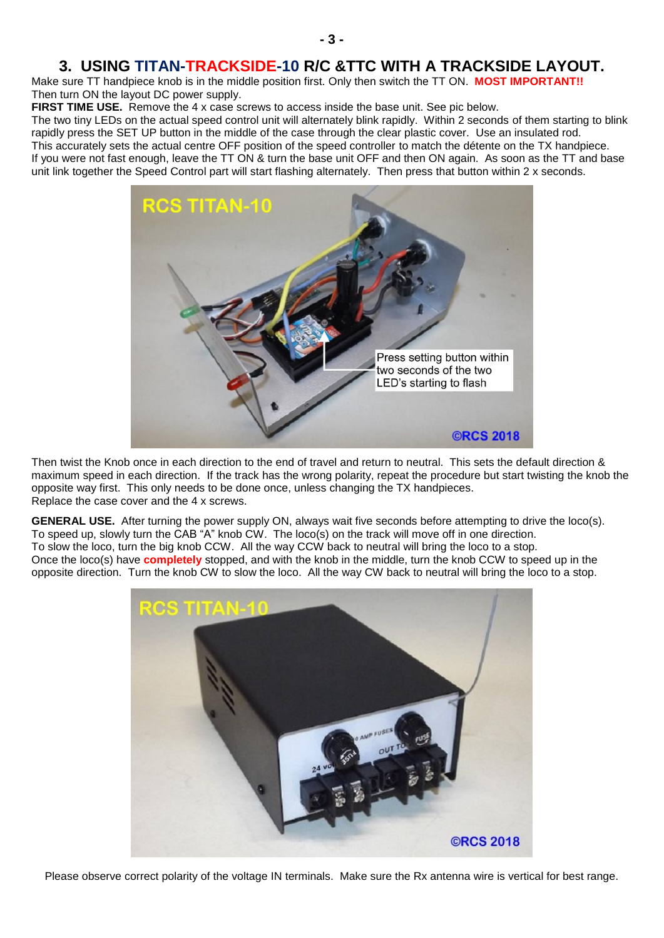## **3. USING TITAN-TRACKSIDE-10 R/C &TTC WITH A TRACKSIDE LAYOUT.**

Make sure TT handpiece knob is in the middle position first. Only then switch the TT ON. **MOST IMPORTANT!!** Then turn ON the layout DC power supply.

**FIRST TIME USE.** Remove the 4 x case screws to access inside the base unit. See pic below.

The two tiny LEDs on the actual speed control unit will alternately blink rapidly. Within 2 seconds of them starting to blink rapidly press the SET UP button in the middle of the case through the clear plastic cover. Use an insulated rod. This accurately sets the actual centre OFF position of the speed controller to match the détente on the TX handpiece. If you were not fast enough, leave the TT ON & turn the base unit OFF and then ON again. As soon as the TT and base unit link together the Speed Control part will start flashing alternately. Then press that button within 2 x seconds.



Then twist the Knob once in each direction to the end of travel and return to neutral. This sets the default direction & maximum speed in each direction. If the track has the wrong polarity, repeat the procedure but start twisting the knob the opposite way first. This only needs to be done once, unless changing the TX handpieces. Replace the case cover and the 4 x screws.

**GENERAL USE.** After turning the power supply ON, always wait five seconds before attempting to drive the loco(s). To speed up, slowly turn the CAB "A" knob CW. The loco(s) on the track will move off in one direction. To slow the loco, turn the big knob CCW. All the way CCW back to neutral will bring the loco to a stop. Once the loco(s) have **completely** stopped, and with the knob in the middle, turn the knob CCW to speed up in the opposite direction. Turn the knob CW to slow the loco. All the way CW back to neutral will bring the loco to a stop.



Please observe correct polarity of the voltage IN terminals. Make sure the Rx antenna wire is vertical for best range.